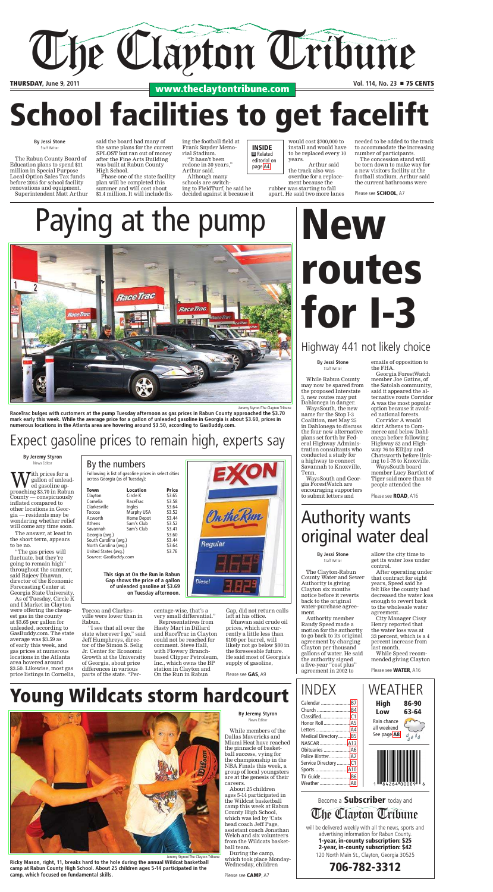#### **By Jeremy Styron** News Editor

 While members of the Dallas Mavericks and Miami Heat have reached the pinnacle of basketball success, vying for the championship in the NBA Finals this week, a group of local youngsters are at the genesis of their careers.

 About 25 children ages 5-14 participated in the Wildcat basketball camp this week at Rabun County High School, which was led by 'Cats head coach Jeff Page, assistant coach Jonathan Welch and six volunteers from the Wildcats basketball team.

 During the camp, which took place Monday-Wednesday, children

**By Jeremy Styron** News Editor

ed gasoline ap-

County — conspicuously inflated compared to other locations in Georgia — residents may be wondering whether relief will come any time soon.

 The answer, at least in the short term, appears to be no.

 "The gas prices will fluctuate, but they're going to remain high" throughout the summer, said Rajeev Dhawan, director of the Economic Forecasting Center at Georgia State University.

 As of Tuesday, Circle K and I Market in Clayton were offering the cheapest gas in the county at \$3.65 per gallon for unleaded, according to GasBuddy.com. The state average was \$3.59 as of early this week, and gas prices at numerous locations in the Atlanta area hovered around \$3.50. Likewise, most gas price listings in Cornelia,

Toccoa and Clarkesville were lower than in Rabun.

 "I see that all over the state wherever I go," said Jeff Humphreys, director of the Simon S. Selig Jr. Center for Economic Growth at the University of Georgia, about price differences in various parts of the state. "Per-

centage-wise, that's a very small differential." Representatives from Hasty Mart in Dillard and RaceTrac in Clayton could not be reached for comment. Steve Hall, with Flowery Branch-

based Clipper Petroleum, Inc., which owns the BP station in Clayton and

Gap, did not return calls left at his office.

 Dhawan said crude oil prices, which are currently a little less than \$100 per barrel, will likely not go below \$80 in the foreseeable future. He said most of Georgia's supply of gasoline,

> TV Guide ...................... [B6](/shared-content/e-edition/jump.php?page=B6&date=2011-06-09&pub=) Weather .....................

#### **By Jessi Stone** Staff Writer

 The Clayton-Rabun County Water and Sewer Authority is giving Clayton six months notice before it reverts back to the original water-purchase agreement.

 Authority member Randy Speed made a motion for the authority to go back to its original agreement by charging Clayton per thousand gallons of water. He said the authority signed a five-year "cost plus" agreement in 2002 to

# **New** routes for I-3

allow the city time to get its water loss under control.

 After operating under that contract for eight years, Speed said he felt like the county had decreased the water loss enough to revert back to the wholesale water agreement.

 City Manager Cissy Henry reported that the water loss was at 33 percent, which is a 4 percent increase from last month.

 While Speed recommended giving Clayton

#### **By Jessi Stone** Staff Writer

 While Rabun County may now be spared from the proposed Interstate 3, new routes may put Dahlonega in danger.

 WaysSouth, the new name for the Stop I-3 Coalition, met May 25 in Dahlonega to discuss the four new alternative plans set forth by Federal Highway Administration consultants who conducted a study for a highway to connect Savannah to Knoxville, Tenn.

 WaysSouth and Georgia ForestWatch are encouraging supporters to submit letters and

emails of opposition to the FHA.

**W** fallon of unlead-<br>proaching \$3.70 in Rabun ith prices for a gallon of unlead-By the numbers Following is list of gasoline prices in select cities across Georgia (as of Tuesday):

Town Location Price

On the Run

Regular

**Diesel** 

 Georgia ForestWatch member Joe Gatins, of the Satolah community, said it appeared the alternative route Corridor A was the most popular option because it avoided national forests.

Clayton Circle K \$3.65<br>Cornelia RaceTrac \$3.58 RaceTrac Clarkesville Ingles \$3.64 Toccoa Murphy USA \$3.52 Acworth Home Depot Athens Sam's Club \$3.52 Savannah Sam's Club \$3.41<br>Georgia (avg.) \$3.60 Georgia (avg.) South Carolina (avg.) \$3.44 North Carolina (avg.) \$3.64<br>United States (avg.) \$3.76 United States (avg.) *Source: GasBuddy.com*



 Corridor A would skirt Athens to Commerce and below Dahlonega before following Highway 52 and Highway 76 to Ellijay and Chatsworth before linking to I-75 to Knoxville.

 WaysSouth board member Lucy Bartlett of Tiger said more than 50 people attended the

| <b>INDEX</b>                                      | WEATHER                                                                        |
|---------------------------------------------------|--------------------------------------------------------------------------------|
| Calendar  B7<br>Church  B4<br>Medical DirectoryB5 | <b>High 86-90</b><br>Low<br>63-64<br>Rain chance<br>all weekend<br>See page A8 |
| Police BlotterA2<br>Service Directory C1          |                                                                                |



Become a Subscriber today and will be delivered weekly with all the news, sports and advertising information for Rabun County. 1-year, in-county subscription: \$25 2-year, in-county subscription: \$42 The Clayton Tribune

120 North Main St., Clayton, Georgia 30525

706-782-3312



THURSDAY, June 9, 2011<br>**WWW.theclaytontribune.com** Vol. 114, No. 23 **n** 75 CENTS

Please see CAMP, A7

Jeremy Styron/The Clayton Tribune

**Ricky Mason, right, 11, breaks hard to the hole during the annual Wildcat basketball camp at Rabun County High School. About 25 children ages 5-14 participated in the camp, which focused on fundamental skills.**

## Expect gasoline prices to remain high, experts say

## Authority wants original water deal

Please see ROAD, A16

Jeremy Styron/The Clayton Tribune

**RaceTrac bulges with customers at the pump Tuesday afternoon as gas prices in Rabun County approached the \$3.70 mark early this week. While the average price for a gallon of unleaded gasoline in Georgia is about \$3.60, prices in numerous locations in the Atlanta area are hovering around \$3.50, according to GasBuddy.com.**

## Paying at the pump



Please see GAS, A9

Please see WATER, A16

INSIDE  $\blacksquare$  Related editorial on page [A4.](/shared-content/e-edition/jump.php?page=A4&date=2011-06-09&pub=)

#### **By Jessi Stone** Staff Writer

 The Rabun County Board of Education plans to spend \$11 million in Special Purpose Local Option Sales Tax funds before 2015 for school facility renovations and equipment. Superintendent Matt Arthur said the board had many of the same plans for the current SPLOST but ran out of money after the Fine Arts Building was built at Rabun County High School.

 Phase one of the state facility plan will be completed this summer and will cost about \$1.4 million. It will include fixing the football field at Frank Snyder Memorial Stadium.

 "It hasn't been redone in 30 years," Arthur said. Although many

schools are switching to FieldTurf, he said he decided against it because it

would cost \$700,000 to install and would have to be replaced every 10 years.

 Arthur said the track also was overdue for a replacement because the rubber was starting to fall

apart. He said two more lanes

needed to be added to the track to accommodate the increasing number of participants.

 The concession stand will be torn down to make way for a new visitors facility at the football stadium. Arthur said the current bathrooms were

Please see **SCHOOL**, A7

# School facilities to get facelift

## Highway 441 not likely choice

**This sign at On the Run in Rabun Gap shows the price of a gallon of unleaded gasoline at \$3.69 on Tuesday afternoon.**